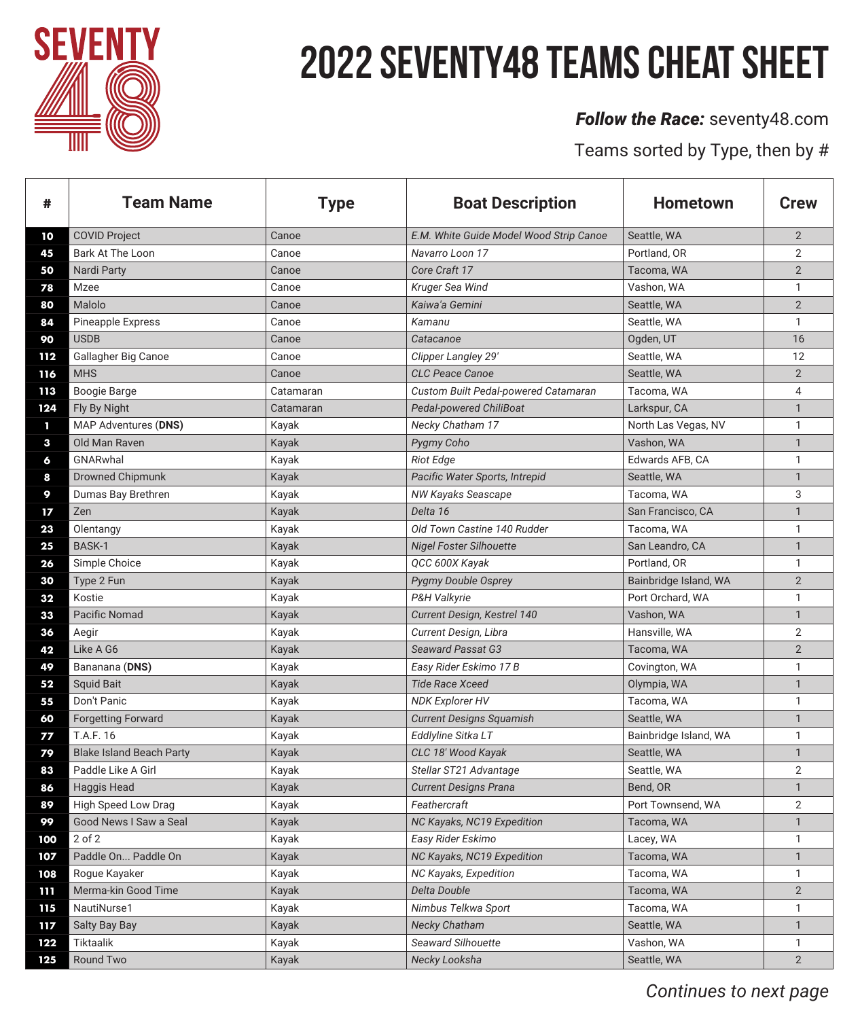

# **2022 SEVENTY48 teams Cheat Sheet**

#### *Follow the Race:* seventy48.com

Teams sorted by Type, then by #

| #            | <b>Team Name</b>                | Type      | <b>Boat Description</b>                 | <b>Hometown</b>       | <b>Crew</b>    |
|--------------|---------------------------------|-----------|-----------------------------------------|-----------------------|----------------|
| 10           | <b>COVID Project</b>            | Canoe     | E.M. White Guide Model Wood Strip Canoe | Seattle, WA           | $\overline{2}$ |
| 45           | Bark At The Loon                | Canoe     | Navarro Loon 17                         | Portland, OR          | $\overline{2}$ |
| 50           | Nardi Party                     | Canoe     | Core Craft 17                           | Tacoma, WA            | $\overline{2}$ |
| 78           | Mzee                            | Canoe     | Kruger Sea Wind                         | Vashon, WA            | 1              |
| 80           | Malolo                          | Canoe     | Kaiwa'a Gemini                          | Seattle, WA           | $\overline{2}$ |
| 84           | Pineapple Express               | Canoe     | Kamanu                                  | Seattle, WA           | 1              |
| 90           | <b>USDB</b>                     | Canoe     | Catacanoe                               | Ogden, UT             | 16             |
| 112          | Gallagher Big Canoe             | Canoe     | Clipper Langley 29'                     | Seattle, WA           | 12             |
| 116          | <b>MHS</b>                      | Canoe     | <b>CLC</b> Peace Canoe                  | Seattle, WA           | $\overline{2}$ |
| 113          | <b>Boogie Barge</b>             | Catamaran | Custom Built Pedal-powered Catamaran    | Tacoma, WA            | 4              |
| 124          | Fly By Night                    | Catamaran | Pedal-powered ChiliBoat                 | Larkspur, CA          | $\mathbf{1}$   |
| n            | MAP Adventures (DNS)            | Kayak     | Necky Chatham 17                        | North Las Vegas, NV   | 1              |
| $\mathbf{3}$ | Old Man Raven                   | Kayak     | Pygmy Coho                              | Vashon, WA            | $\mathbf{1}$   |
| 6            | GNARwhal                        | Kayak     | <b>Riot Edge</b>                        | Edwards AFB, CA       | 1              |
| 8            | <b>Drowned Chipmunk</b>         | Kayak     | Pacific Water Sports, Intrepid          | Seattle, WA           | $\mathbf{1}$   |
| 9            | Dumas Bay Brethren              | Kayak     | NW Kayaks Seascape                      | Tacoma, WA            | 3              |
| 17           | Zen                             | Kayak     | Delta 16                                | San Francisco, CA     | $\mathbf{1}$   |
| 23           | Olentangy                       | Kayak     | Old Town Castine 140 Rudder             | Tacoma, WA            | 1              |
| 25           | <b>BASK-1</b>                   | Kayak     | <b>Nigel Foster Silhouette</b>          | San Leandro, CA       | $\mathbf{1}$   |
| 26           | Simple Choice                   | Kayak     | QCC 600X Kayak                          | Portland, OR          | 1              |
| 30           | Type 2 Fun                      | Kayak     | Pygmy Double Osprey                     | Bainbridge Island, WA | $\overline{2}$ |
| 32           | Kostie                          | Kayak     | P&H Valkyrie                            | Port Orchard, WA      | 1              |
| 33           | <b>Pacific Nomad</b>            | Kayak     | Current Design, Kestrel 140             | Vashon, WA            | $\mathbf{1}$   |
| 36           | Aegir                           | Kayak     | Current Design, Libra                   | Hansville, WA         | $\overline{2}$ |
| 42           | Like A G6                       | Kayak     | <b>Seaward Passat G3</b>                | Tacoma, WA            | $\overline{2}$ |
| 49           | Bananana (DNS)                  | Kayak     | Easy Rider Eskimo 17 B                  | Covington, WA         | 1              |
| 52           | <b>Squid Bait</b>               | Kayak     | <b>Tide Race Xceed</b>                  | Olympia, WA           | $\mathbf{1}$   |
| 55           | Don't Panic                     | Kayak     | <b>NDK Explorer HV</b>                  | Tacoma, WA            | 1              |
| 60           | <b>Forgetting Forward</b>       | Kayak     | <b>Current Designs Squamish</b>         | Seattle, WA           | 1              |
| 77           | T.A.F. 16                       | Kayak     | Eddlyline Sitka LT                      | Bainbridge Island, WA | 1              |
| 79           | <b>Blake Island Beach Party</b> | Kayak     | CLC 18' Wood Kayak                      | Seattle, WA           | $\mathbf{1}$   |
| 83           | Paddle Like A Girl              | Kayak     | Stellar ST21 Advantage                  | Seattle, WA           | $\overline{2}$ |
| 86           | <b>Haggis Head</b>              | Kayak     | <b>Current Designs Prana</b>            | Bend, OR              | $\mathbf{1}$   |
| 89           | High Speed Low Drag             | Kayak     | Feathercraft                            | Port Townsend, WA     | 2              |
| 99           | Good News I Saw a Seal          | Kayak     | NC Kayaks, NC19 Expedition              | Tacoma, WA            | $\mathbf{1}$   |
| 100          | $2$ of $2$                      | Kayak     | Easy Rider Eskimo                       | Lacey, WA             | 1              |
| 107          | Paddle On Paddle On             | Kayak     | NC Kayaks, NC19 Expedition              | Tacoma, WA            | $\mathbf{1}$   |
| 108          | Rogue Kayaker                   | Kayak     | NC Kayaks, Expedition                   | Tacoma, WA            | 1              |
| m            | Merma-kin Good Time             | Kayak     | Delta Double                            | Tacoma, WA            | $\mathbf{2}$   |
| 115          | NautiNurse1                     | Kayak     | Nimbus Telkwa Sport                     | Tacoma, WA            | 1              |
| 117          | Salty Bay Bay                   | Kayak     | Necky Chatham                           | Seattle, WA           | 1              |
| 122          | Tiktaalik                       | Kayak     | Seaward Silhouette                      | Vashon, WA            | 1              |
| 125          | Round Two                       | Kayak     | Necky Looksha                           | Seattle, WA           | $\mathbf{2}$   |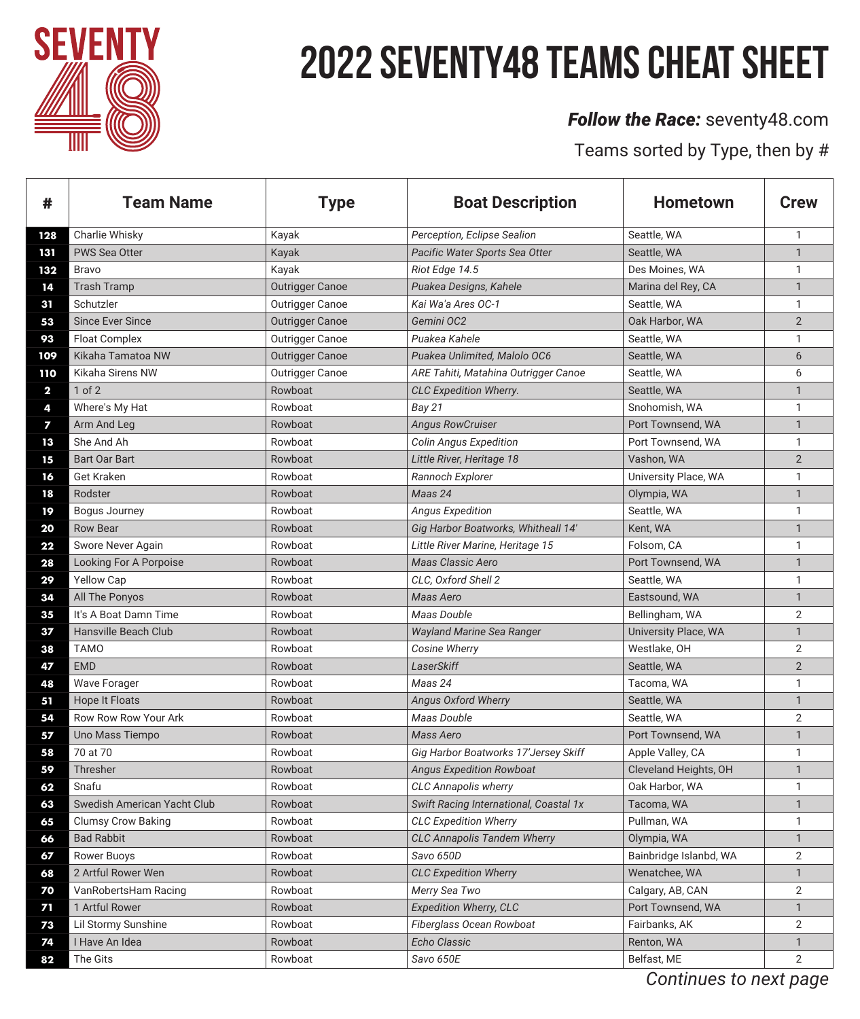

# **2022 SEVENTY48 teams Cheat Sheet**

### *Follow the Race:* seventy48.com

Teams sorted by Type, then by #

| #                       | <b>Team Name</b>            | Type                   | <b>Boat Description</b>                | <b>Hometown</b>        | <b>Crew</b>    |
|-------------------------|-----------------------------|------------------------|----------------------------------------|------------------------|----------------|
| 128                     | Charlie Whisky              | Kayak                  | Perception, Eclipse Sealion            | Seattle, WA            | 1              |
| 131                     | <b>PWS Sea Otter</b>        | Kayak                  | Pacific Water Sports Sea Otter         | Seattle, WA            | $\mathbf{1}$   |
| 132                     | <b>Bravo</b>                | Kayak                  | Riot Edge 14.5                         | Des Moines, WA         | 1              |
| 14                      | <b>Trash Tramp</b>          | Outrigger Canoe        | Puakea Designs, Kahele                 | Marina del Rey, CA     | $\mathbf{1}$   |
| 31                      | Schutzler                   | Outrigger Canoe        | Kai Wa'a Ares OC-1                     | Seattle, WA            | 1              |
| 53                      | <b>Since Ever Since</b>     | <b>Outrigger Canoe</b> | Gemini OC2                             | Oak Harbor, WA         | $\overline{2}$ |
| 93                      | <b>Float Complex</b>        | Outrigger Canoe        | Puakea Kahele                          | Seattle, WA            | 1              |
| 109                     | Kikaha Tamatoa NW           | <b>Outrigger Canoe</b> | Puakea Unlimited, Malolo OC6           | Seattle, WA            | 6              |
| 110                     | <b>Kikaha Sirens NW</b>     | Outrigger Canoe        | ARE Tahiti, Matahina Outrigger Canoe   | Seattle, WA            | 6              |
| $\mathbf{2}$            | $1$ of $2$                  | Rowboat                | CLC Expedition Wherry.                 | Seattle, WA            | $\mathbf{1}$   |
| 4                       | Where's My Hat              | Rowboat                | Bay 21                                 | Snohomish, WA          | 1              |
| $\overline{\mathbf{z}}$ | Arm And Leg                 | Rowboat                | <b>Angus RowCruiser</b>                | Port Townsend, WA      | $\mathbf{1}$   |
| 13                      | She And Ah                  | Rowboat                | <b>Colin Angus Expedition</b>          | Port Townsend, WA      | 1              |
| 15                      | <b>Bart Oar Bart</b>        | Rowboat                | Little River, Heritage 18              | Vashon, WA             | $\overline{2}$ |
| 16                      | <b>Get Kraken</b>           | Rowboat                | Rannoch Explorer                       | University Place, WA   | 1              |
| 18                      | Rodster                     | Rowboat                | Maas 24                                | Olympia, WA            | $\mathbf{1}$   |
| 19                      | <b>Bogus Journey</b>        | Rowboat                | <b>Angus Expedition</b>                | Seattle, WA            | 1              |
| 20                      | <b>Row Bear</b>             | Rowboat                | Gig Harbor Boatworks, Whitheall 14'    | Kent, WA               | $\mathbf{1}$   |
| 22                      | Swore Never Again           | Rowboat                | Little River Marine, Heritage 15       | Folsom, CA             | 1              |
| 28                      | Looking For A Porpoise      | Rowboat                | Maas Classic Aero                      | Port Townsend, WA      | $\mathbf{1}$   |
| 29                      | <b>Yellow Cap</b>           | Rowboat                | CLC, Oxford Shell 2                    | Seattle, WA            | 1              |
| 34                      | All The Ponyos              | Rowboat                | Maas Aero                              | Eastsound, WA          | $\mathbf{1}$   |
| 35                      | It's A Boat Damn Time       | Rowboat                | Maas Double                            | Bellingham, WA         | 2              |
| 37                      | Hansville Beach Club        | Rowboat                | Wayland Marine Sea Ranger              | University Place, WA   | $\mathbf{1}$   |
| 38                      | <b>TAMO</b>                 | Rowboat                | <b>Cosine Wherry</b>                   | Westlake, OH           | 2              |
| 47                      | <b>EMD</b>                  | Rowboat                | LaserSkiff                             | Seattle, WA            | $\overline{2}$ |
| 48                      | <b>Wave Forager</b>         | Rowboat                | Maas 24                                | Tacoma, WA             | 1              |
| 51                      | <b>Hope It Floats</b>       | Rowboat                | <b>Angus Oxford Wherry</b>             | Seattle, WA            | $\mathbf{1}$   |
| 54                      | Row Row Row Your Ark        | Rowboat                | Maas Double                            | Seattle, WA            | 2              |
| 57                      | Uno Mass Tiempo             | Rowboat                | Mass Aero                              | Port Townsend, WA      |                |
| 58                      | 70 at 70                    | Rowboat                | Gig Harbor Boatworks 17'Jersey Skiff   | Apple Valley, CA       | 1              |
| 59                      | Thresher                    | Rowboat                | <b>Angus Expedition Rowboat</b>        | Cleveland Heights, OH  | $\mathbf{1}$   |
| 62                      | Snafu                       | Rowboat                | <b>CLC Annapolis wherry</b>            | Oak Harbor, WA         | 1              |
| 63                      | Swedish American Yacht Club | Rowboat                | Swift Racing International, Coastal 1x | Tacoma, WA             | $\mathbf{1}$   |
| 65                      | <b>Clumsy Crow Baking</b>   | Rowboat                | <b>CLC Expedition Wherry</b>           | Pullman, WA            | 1              |
| 66                      | <b>Bad Rabbit</b>           | Rowboat                | <b>CLC Annapolis Tandem Wherry</b>     | Olympia, WA            | $\mathbf{1}$   |
| 67                      | Rower Buoys                 | Rowboat                | Savo 650D                              | Bainbridge Islanbd, WA | $\overline{2}$ |
| 68                      | 2 Artful Rower Wen          | Rowboat                | <b>CLC Expedition Wherry</b>           | Wenatchee, WA          | $\mathbf{1}$   |
| 70                      | VanRobertsHam Racing        | Rowboat                | Merry Sea Two                          | Calgary, AB, CAN       | $\overline{2}$ |
| 71                      | 1 Artful Rower              | Rowboat                | <b>Expedition Wherry, CLC</b>          | Port Townsend, WA      | $\mathbf{1}$   |
| 73                      | Lil Stormy Sunshine         | Rowboat                | Fiberglass Ocean Rowboat               | Fairbanks, AK          | 2              |
| 74                      | I Have An Idea              | Rowboat                | Echo Classic                           | Renton, WA             | 1              |
| 82                      | The Gits                    | Rowboat                | Savo 650E                              | Belfast, ME            | 2              |